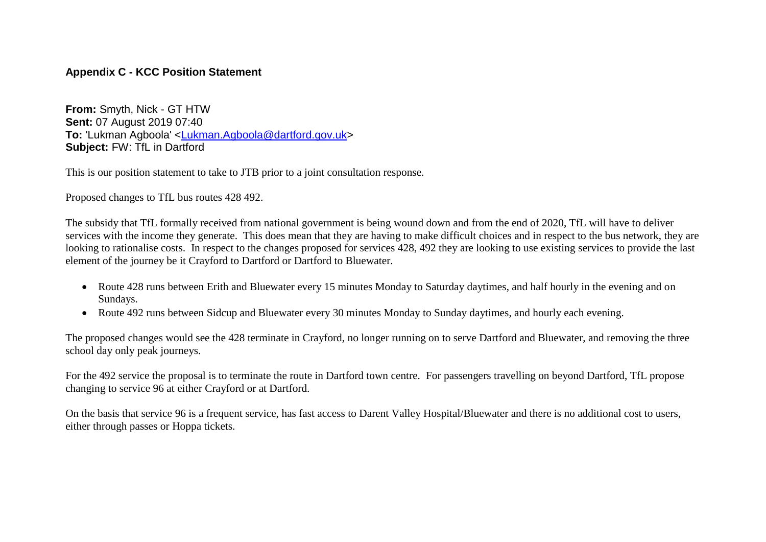## **Appendix C - KCC Position Statement**

**From:** Smyth, Nick - GT HTW **Sent:** 07 August 2019 07:40 **To:** 'Lukman Agboola' [<Lukman.Agboola@dartford.gov.uk>](mailto:Lukman.Agboola@dartford.gov.uk) **Subject:** FW: TfL in Dartford

This is our position statement to take to JTB prior to a joint consultation response.

Proposed changes to TfL bus routes 428 492.

The subsidy that TfL formally received from national government is being wound down and from the end of 2020, TfL will have to deliver services with the income they generate. This does mean that they are having to make difficult choices and in respect to the bus network, they are looking to rationalise costs. In respect to the changes proposed for services 428, 492 they are looking to use existing services to provide the last element of the journey be it Crayford to Dartford or Dartford to Bluewater.

- Route 428 runs between Erith and Bluewater every 15 minutes Monday to Saturday daytimes, and half hourly in the evening and on Sundays.
- Route 492 runs between Sidcup and Bluewater every 30 minutes Monday to Sunday daytimes, and hourly each evening.

The proposed changes would see the 428 terminate in Crayford, no longer running on to serve Dartford and Bluewater, and removing the three school day only peak journeys.

For the 492 service the proposal is to terminate the route in Dartford town centre. For passengers travelling on beyond Dartford, TfL propose changing to service 96 at either Crayford or at Dartford.

On the basis that service 96 is a frequent service, has fast access to Darent Valley Hospital/Bluewater and there is no additional cost to users, either through passes or Hoppa tickets.